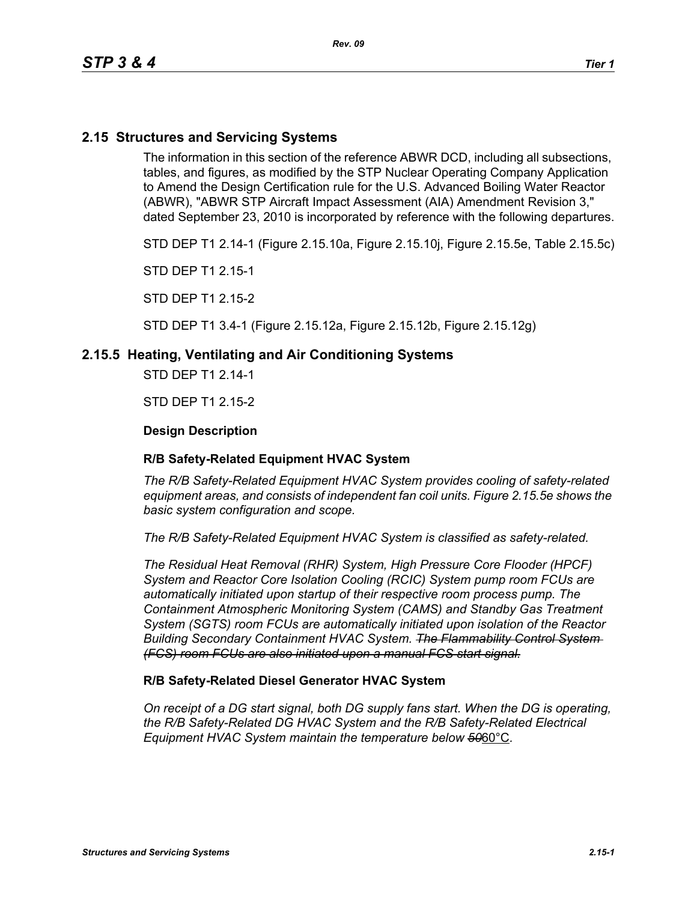# **2.15 Structures and Servicing Systems**

The information in this section of the reference ABWR DCD, including all subsections, tables, and figures, as modified by the STP Nuclear Operating Company Application to Amend the Design Certification rule for the U.S. Advanced Boiling Water Reactor (ABWR), "ABWR STP Aircraft Impact Assessment (AIA) Amendment Revision 3," dated September 23, 2010 is incorporated by reference with the following departures.

STD DEP T1 2.14-1 (Figure 2.15.10a, Figure 2.15.10j, Figure 2.15.5e, Table 2.15.5c)

STD DEP T1 2.15-1

STD DEP T1 2.15-2

STD DEP T1 3.4-1 (Figure 2.15.12a, Figure 2.15.12b, Figure 2.15.12g)

## **2.15.5 Heating, Ventilating and Air Conditioning Systems**

STD DEP T1 2.14-1

STD DEP T1 2.15-2

## **Design Description**

### **R/B Safety-Related Equipment HVAC System**

*The R/B Safety-Related Equipment HVAC System provides cooling of safety-related equipment areas, and consists of independent fan coil units. Figure 2.15.5e shows the basic system configuration and scope.*

*The R/B Safety-Related Equipment HVAC System is classified as safety-related.*

*The Residual Heat Removal (RHR) System, High Pressure Core Flooder (HPCF) System and Reactor Core Isolation Cooling (RCIC) System pump room FCUs are automatically initiated upon startup of their respective room process pump. The Containment Atmospheric Monitoring System (CAMS) and Standby Gas Treatment System (SGTS) room FCUs are automatically initiated upon isolation of the Reactor Building Secondary Containment HVAC System. The Flammability Control System (FCS) room FCUs are also initiated upon a manual FCS start signal.*

### **R/B Safety-Related Diesel Generator HVAC System**

*On receipt of a DG start signal, both DG supply fans start. When the DG is operating, the R/B Safety-Related DG HVAC System and the R/B Safety-Related Electrical Equipment HVAC System maintain the temperature below 50*60°C*.*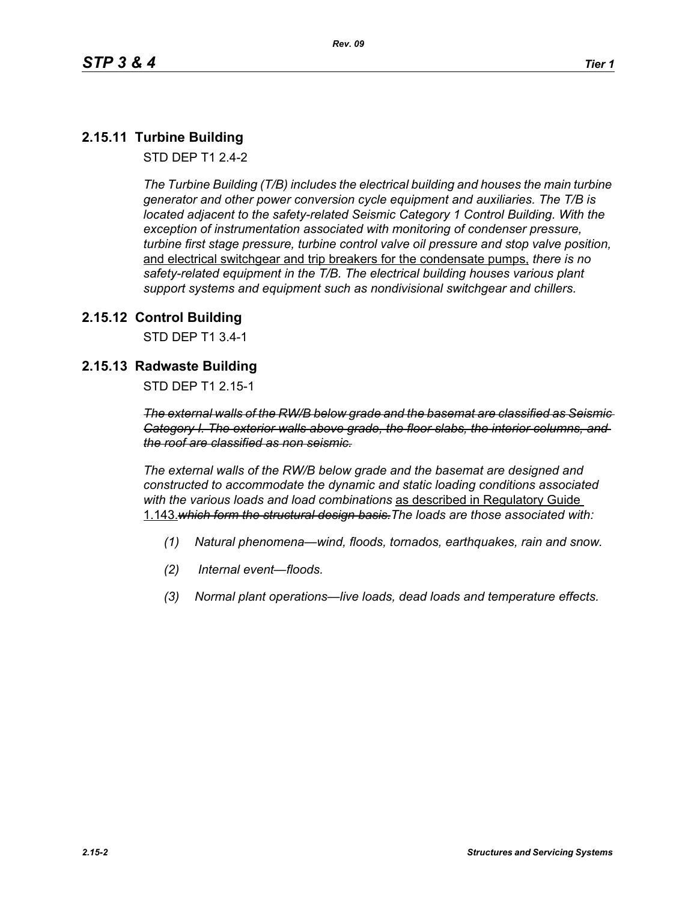# **2.15.11 Turbine Building**

STD DEP T1 2.4-2

*The Turbine Building (T/B) includes the electrical building and houses the main turbine generator and other power conversion cycle equipment and auxiliaries. The T/B is located adjacent to the safety-related Seismic Category 1 Control Building. With the exception of instrumentation associated with monitoring of condenser pressure, turbine first stage pressure, turbine control valve oil pressure and stop valve position,*  and electrical switchgear and trip breakers for the condensate pumps, *there is no safety-related equipment in the T/B. The electrical building houses various plant support systems and equipment such as nondivisional switchgear and chillers.*

## **2.15.12 Control Building**

STD DEP T1 3.4-1

# **2.15.13 Radwaste Building**

STD DEP T1 2.15-1

*The external walls of the RW/B below grade and the basemat are classified as Seismic Category I. The exterior walls above grade, the floor slabs, the interior columns, and the roof are classified as non seismic.*

*The external walls of the RW/B below grade and the basemat are designed and constructed to accommodate the dynamic and static loading conditions associated with the various loads and load combinations* as described in Regulatory Guide 1.143.*which form the structural design basis.The loads are those associated with:*

- *(1) Natural phenomena—wind, floods, tornados, earthquakes, rain and snow.*
- *(2) Internal event—floods.*
- *(3) Normal plant operations—live loads, dead loads and temperature effects.*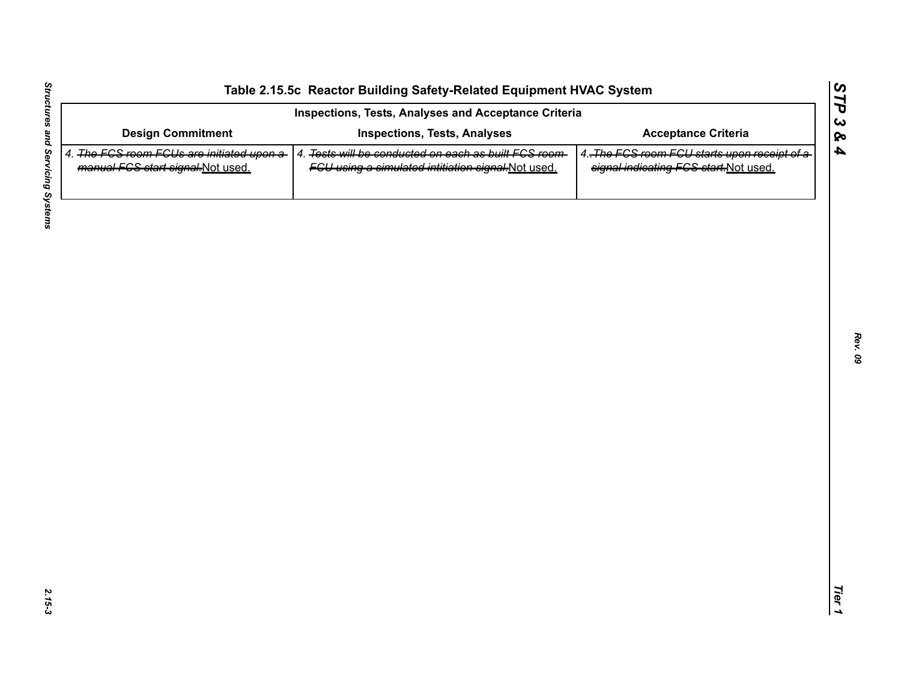| <b>Design Commitment</b><br>4. The FGS room FGUs are initiated upon a-<br>manual FCS start signal-Not used. | <b>Inspections, Tests, Analyses</b><br>4. Tests will be conducted on each as built FCS room- | <b>Acceptance Criteria</b>                                                            |
|-------------------------------------------------------------------------------------------------------------|----------------------------------------------------------------------------------------------|---------------------------------------------------------------------------------------|
|                                                                                                             |                                                                                              |                                                                                       |
|                                                                                                             | FGU using a simulated intitiation signal-Not used.                                           | 4. The FCS room FCU starts upon receipt of a<br>signal indicating FCS start-Not used. |
|                                                                                                             |                                                                                              |                                                                                       |
|                                                                                                             |                                                                                              |                                                                                       |
|                                                                                                             |                                                                                              |                                                                                       |
|                                                                                                             |                                                                                              |                                                                                       |
|                                                                                                             |                                                                                              |                                                                                       |
|                                                                                                             |                                                                                              |                                                                                       |
|                                                                                                             |                                                                                              |                                                                                       |
|                                                                                                             |                                                                                              |                                                                                       |
|                                                                                                             |                                                                                              |                                                                                       |
|                                                                                                             |                                                                                              |                                                                                       |

L,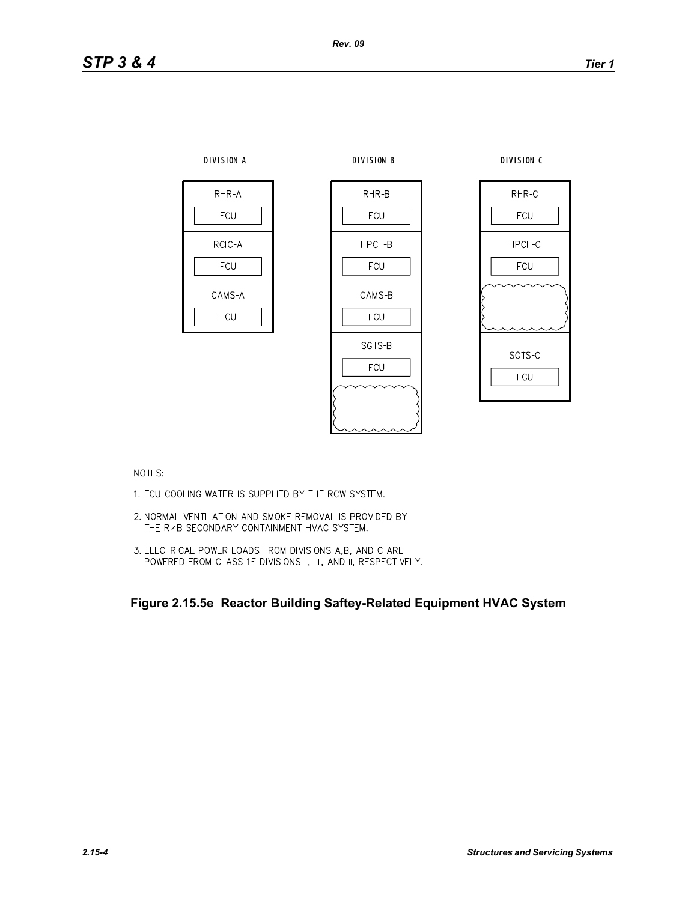

NOTES:

- 1. FCU COOLING WATER IS SUPPLIED BY THE RCW SYSTEM.
- 2. NORMAL VENTILATION AND SMOKE REMOVAL IS PROVIDED BY THE R / B SECONDARY CONTAINMENT HVAC SYSTEM.
- 3. ELECTRICAL POWER LOADS FROM DIVISIONS A,B, AND C ARE POWERED FROM CLASS 1E DIVISIONS I, II, AND II, RESPECTIVELY.

**Figure 2.15.5e Reactor Building Saftey-Related Equipment HVAC System**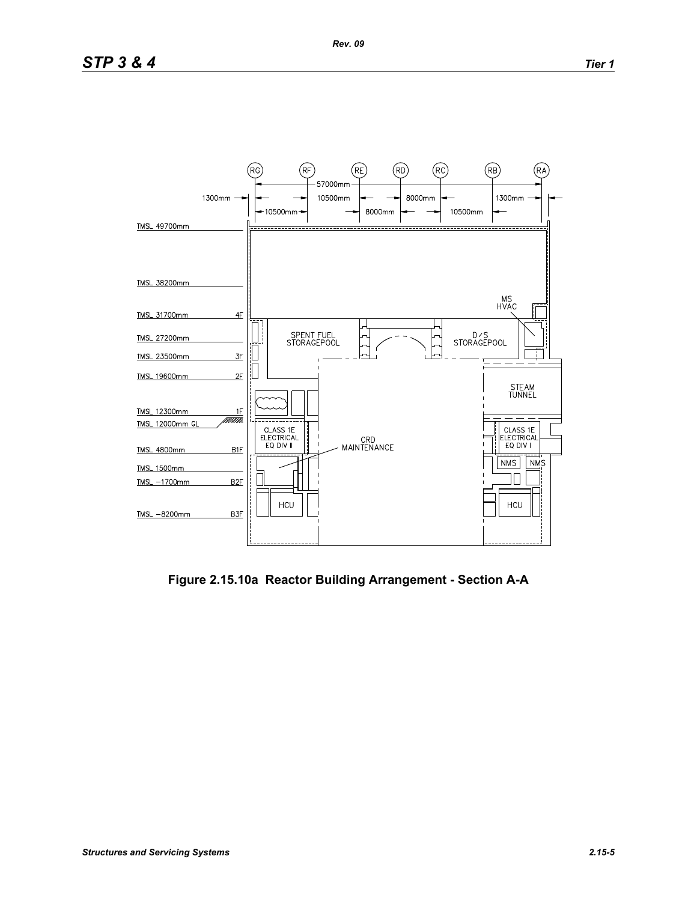

**Figure 2.15.10a Reactor Building Arrangement - Section A-A**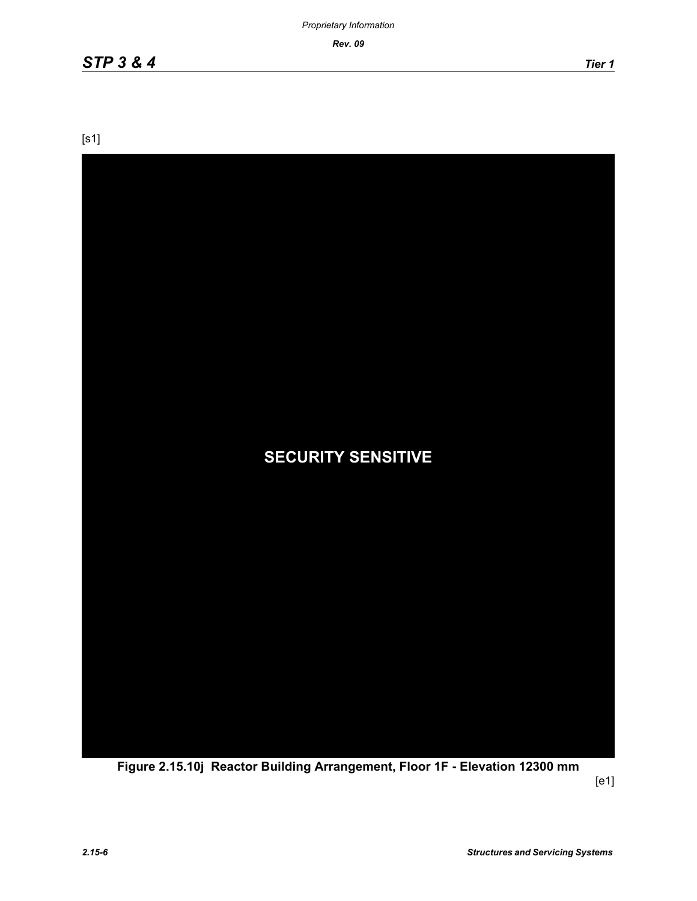*Rev. 09*

[s1]



**Figure 2.15.10j Reactor Building Arrangement, Floor 1F - Elevation 12300 mm**

[e1]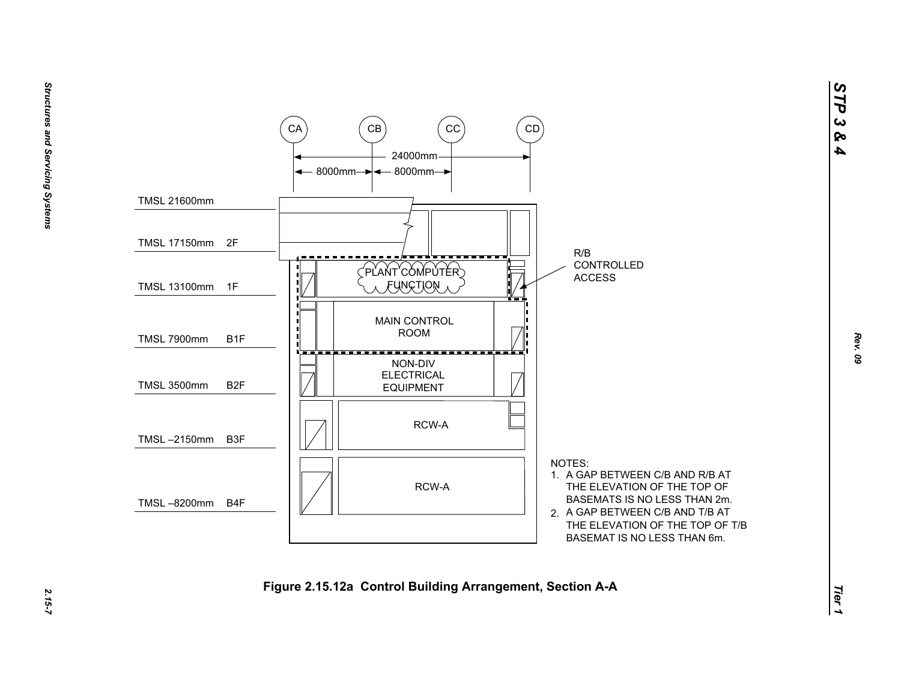

*STP 3 & 4*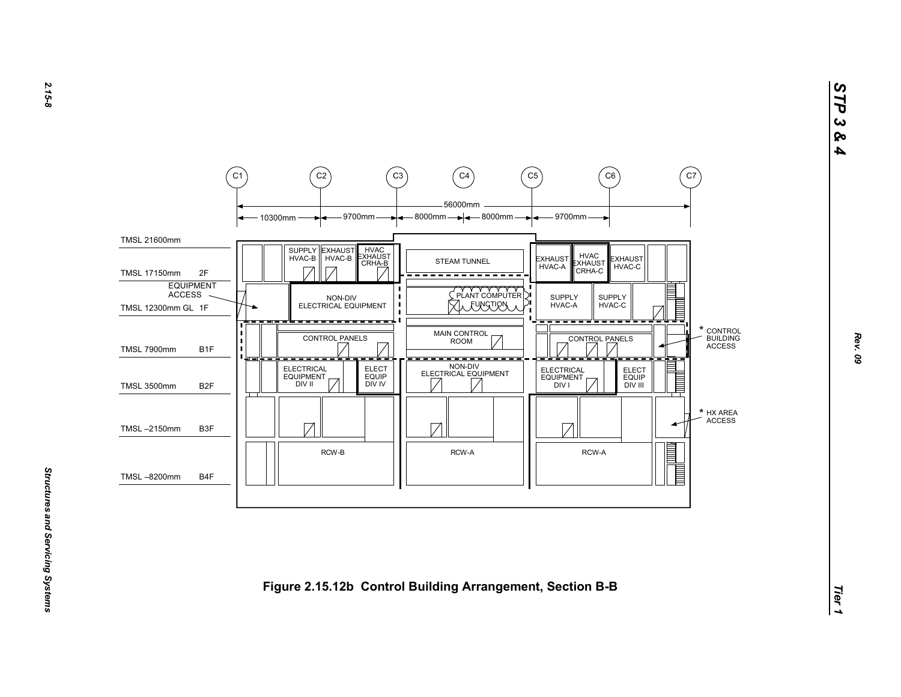